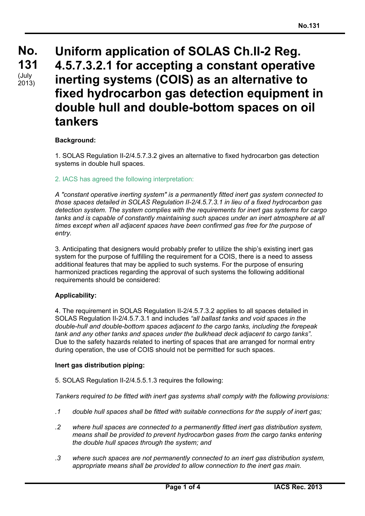# **No. No. 131 131**  $(Uuly)$ **Uniform application of SOLAS Ch.II-2 Reg. 4.5.7.3.2.1 for accepting a constant operative inerting systems (COIS) as an alternative to fixed hydrocarbon gas detection equipment in double hull and double-bottom spaces on oil tankers** 2013)

# **Background:**

1. SOLAS Regulation II-2/4.5.7.3.2 gives an alternative to fixed hydrocarbon gas detection systems in double hull spaces.

## 2. IACS has agreed the following interpretation:

*A "constant operative inerting system" is a permanently fitted inert gas system connected to those spaces detailed in SOLAS Regulation II-2/4.5.7.3.1 in lieu of a fixed hydrocarbon gas detection system. The system complies with the requirements for inert gas systems for cargo tanks and is capable of constantly maintaining such spaces under an inert atmosphere at all times except when all adjacent spaces have been confirmed gas free for the purpose of entry.*

3. Anticipating that designers would probably prefer to utilize the ship's existing inert gas system for the purpose of fulfilling the requirement for a COIS, there is a need to assess additional features that may be applied to such systems. For the purpose of ensuring harmonized practices regarding the approval of such systems the following additional requirements should be considered:

## **Applicability:**

4. The requirement in SOLAS Regulation II-2/4.5.7.3.2 applies to all spaces detailed in SOLAS Regulation II-2/4.5.7.3.1 and includes *"all ballast tanks and void spaces in the double-hull and double-bottom spaces adjacent to the cargo tanks, including the forepeak tank and any other tanks and spaces under the bulkhead deck adjacent to cargo tanks"*. Due to the safety hazards related to inerting of spaces that are arranged for normal entry during operation, the use of COIS should not be permitted for such spaces.

### **Inert gas distribution piping:**

5. SOLAS Regulation II-2/4.5.5.1.3 requires the following:

*Tankers required to be fitted with inert gas systems shall comply with the following provisions:*

- *.1 double hull spaces shall be fitted with suitable connections for the supply of inert gas;*
- *.2 where hull spaces are connected to a permanently fitted inert gas distribution system, means shall be provided to prevent hydrocarbon gases from the cargo tanks entering the double hull spaces through the system; and*
- *.3 where such spaces are not permanently connected to an inert gas distribution system, appropriate means shall be provided to allow connection to the inert gas main.*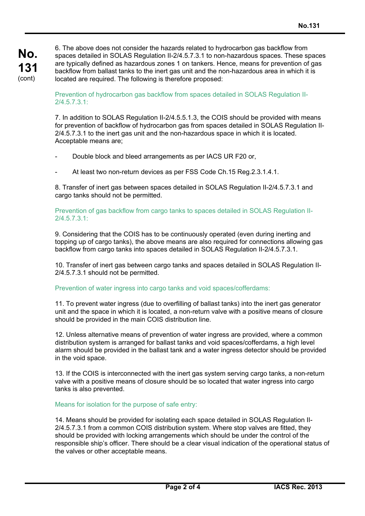**No. 131** (cont)

6. The above does not consider the hazards related to hydrocarbon gas backflow from spaces detailed in SOLAS Regulation II-2/4.5.7.3.1 to non-hazardous spaces. These spaces are typically defined as hazardous zones 1 on tankers. Hence, means for prevention of gas backflow from ballast tanks to the inert gas unit and the non-hazardous area in which it is located are required. The following is therefore proposed:

Prevention of hydrocarbon gas backflow from spaces detailed in SOLAS Regulation II-2/4.5.7.3.1:

7. In addition to SOLAS Regulation II-2/4.5.5.1.3, the COIS should be provided with means for prevention of backflow of hydrocarbon gas from spaces detailed in SOLAS Regulation II-2/4.5.7.3.1 to the inert gas unit and the non-hazardous space in which it is located. Acceptable means are;

- Double block and bleed arrangements as per IACS UR F20 or,
- At least two non-return devices as per FSS Code Ch.15 Reg.2.3.1.4.1.

8. Transfer of inert gas between spaces detailed in SOLAS Regulation II-2/4.5.7.3.1 and cargo tanks should not be permitted.

Prevention of gas backflow from cargo tanks to spaces detailed in SOLAS Regulation II-2/4.5.7.3.1:

9. Considering that the COIS has to be continuously operated (even during inerting and topping up of cargo tanks), the above means are also required for connections allowing gas backflow from cargo tanks into spaces detailed in SOLAS Regulation II-2/4.5.7.3.1.

10. Transfer of inert gas between cargo tanks and spaces detailed in SOLAS Regulation II-2/4.5.7.3.1 should not be permitted.

## Prevention of water ingress into cargo tanks and void spaces/cofferdams:

11. To prevent water ingress (due to overfilling of ballast tanks) into the inert gas generator unit and the space in which it is located, a non-return valve with a positive means of closure should be provided in the main COIS distribution line.

12. Unless alternative means of prevention of water ingress are provided, where a common distribution system is arranged for ballast tanks and void spaces/cofferdams, a high level alarm should be provided in the ballast tank and a water ingress detector should be provided in the void space.

13. If the COIS is interconnected with the inert gas system serving cargo tanks, a non-return valve with a positive means of closure should be so located that water ingress into cargo tanks is also prevented.

### Means for isolation for the purpose of safe entry:

14. Means should be provided for isolating each space detailed in SOLAS Regulation II-2/4.5.7.3.1 from a common COIS distribution system. Where stop valves are fitted, they should be provided with locking arrangements which should be under the control of the responsible ship's officer. There should be a clear visual indication of the operational status of the valves or other acceptable means.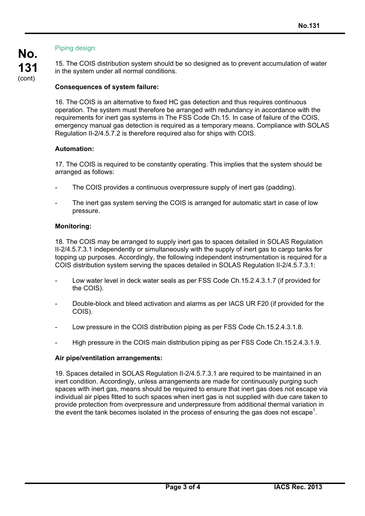# Piping design:

15. The COIS distribution system should be so designed as to prevent accumulation of water in the system under all normal conditions.

# **Consequences of system failure:**

16. The COIS is an alternative to fixed HC gas detection and thus requires continuous operation. The system must therefore be arranged with redundancy in accordance with the requirements for inert gas systems in The FSS Code Ch.15. In case of failure of the COIS, emergency manual gas detection is required as a temporary means. Compliance with SOLAS Regulation II-2/4.5.7.2 is therefore required also for ships with COIS.

# **Automation:**

17. The COIS is required to be constantly operating. This implies that the system should be arranged as follows:

- The COIS provides a continuous overpressure supply of inert gas (padding).
- The inert gas system serving the COIS is arranged for automatic start in case of low pressure.

# **Monitoring:**

18. The COIS may be arranged to supply inert gas to spaces detailed in SOLAS Regulation II-2/4.5.7.3.1 independently or simultaneously with the supply of inert gas to cargo tanks for topping up purposes. Accordingly, the following independent instrumentation is required for a COIS distribution system serving the spaces detailed in SOLAS Regulation II-2/4.5.7.3.1:

- Low water level in deck water seals as per FSS Code Ch.15.2.4.3.1.7 (if provided for the COIS).
- Double-block and bleed activation and alarms as per IACS UR F20 (if provided for the COIS).
- Low pressure in the COIS distribution piping as per FSS Code Ch.15.2.4.3.1.8.
- High pressure in the COIS main distribution piping as per FSS Code Ch.15.2.4.3.1.9.

## **Air pipe/ventilation arrangements:**

19. Spaces detailed in SOLAS Regulation II-2/4.5.7.3.1 are required to be maintained in an inert condition. Accordingly, unless arrangements are made for continuously purging such spaces with inert gas, means should be required to ensure that inert gas does not escape via individual air pipes fitted to such spaces when inert gas is not supplied with due care taken to provide protection from overpressure and underpressure from additional thermal variation in the event the tank becomes isolated in the process of ensuring the gas does not escape<sup>1</sup>.